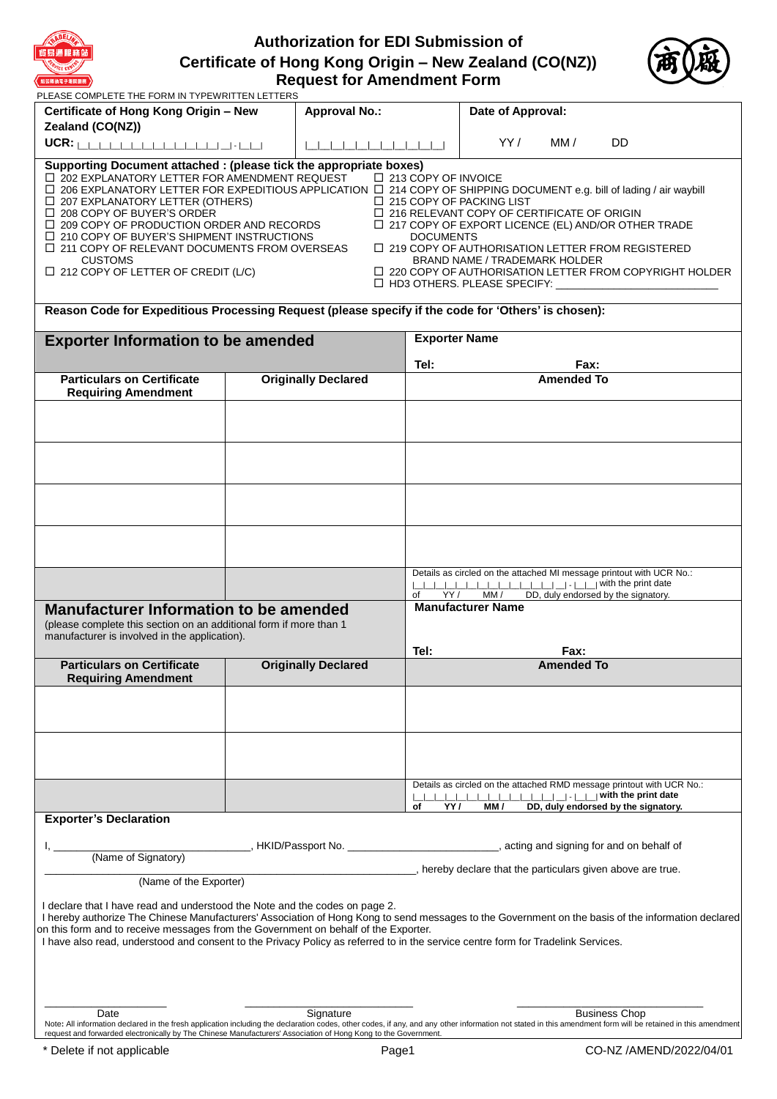

# **Authorization for EDI Submission of Certificate of Hong Kong Origin – New Zealand (CO(NZ)) Request for Amendment Form**



| <b>紙張轉換電子報關服務 》</b>                                                                                                                                                                                                                                                                                                                                                                                                                                                                                                                                                 |  | <b>Request for Amendment Form</b>                                                           |                                           |                                                                                                                                                                    |                   |                                                                                                                                                                                       |
|---------------------------------------------------------------------------------------------------------------------------------------------------------------------------------------------------------------------------------------------------------------------------------------------------------------------------------------------------------------------------------------------------------------------------------------------------------------------------------------------------------------------------------------------------------------------|--|---------------------------------------------------------------------------------------------|-------------------------------------------|--------------------------------------------------------------------------------------------------------------------------------------------------------------------|-------------------|---------------------------------------------------------------------------------------------------------------------------------------------------------------------------------------|
| PLEASE COMPLETE THE FORM IN TYPEWRITTEN LETTERS                                                                                                                                                                                                                                                                                                                                                                                                                                                                                                                     |  |                                                                                             |                                           |                                                                                                                                                                    |                   |                                                                                                                                                                                       |
| Certificate of Hong Kong Origin - New                                                                                                                                                                                                                                                                                                                                                                                                                                                                                                                               |  | <b>Approval No.:</b>                                                                        |                                           | Date of Approval:                                                                                                                                                  |                   |                                                                                                                                                                                       |
| Zealand (CO(NZ))                                                                                                                                                                                                                                                                                                                                                                                                                                                                                                                                                    |  |                                                                                             |                                           | YY /                                                                                                                                                               | MM/               | <b>DD</b>                                                                                                                                                                             |
|                                                                                                                                                                                                                                                                                                                                                                                                                                                                                                                                                                     |  | ________________________                                                                    |                                           |                                                                                                                                                                    |                   |                                                                                                                                                                                       |
| Supporting Document attached : (please tick the appropriate boxes)<br>□ 202 EXPLANATORY LETTER FOR AMENDMENT REQUEST<br>$\Box$ 206 EXPLANATORY LETTER FOR EXPEDITIOUS APPLICATION $\Box$ 214 COPY OF SHIPPING DOCUMENT e.g. bill of lading / air waybill<br>$\Box$ 207 EXPLANATORY LETTER (OTHERS)<br>$\Box$ 208 COPY OF BUYER'S ORDER<br>$\Box$ 209 COPY OF PRODUCTION ORDER AND RECORDS<br>$\Box$ 210 COPY OF BUYER'S SHIPMENT INSTRUCTIONS<br>$\Box$ 211 COPY OF RELEVANT DOCUMENTS FROM OVERSEAS<br><b>CUSTOMS</b><br>$\Box$ 212 COPY OF LETTER OF CREDIT (L/C) |  |                                                                                             | □ 213 COPY OF INVOICE<br><b>DOCUMENTS</b> | $\Box$ 215 COPY OF PACKING LIST<br>$\Box$ 216 RELEVANT COPY OF CERTIFICATE OF ORIGIN<br><b>BRAND NAME / TRADEMARK HOLDER</b><br>$\Box$ HD3 OTHERS. PLEASE SPECIFY: |                   | $\Box$ 217 COPY OF EXPORT LICENCE (EL) AND/OR OTHER TRADE<br>$\Box$ 219 COPY OF AUTHORISATION LETTER FROM REGISTERED<br>$\Box$ 220 COPY OF AUTHORISATION LETTER FROM COPYRIGHT HOLDER |
| Reason Code for Expeditious Processing Request (please specify if the code for 'Others' is chosen):                                                                                                                                                                                                                                                                                                                                                                                                                                                                 |  |                                                                                             |                                           |                                                                                                                                                                    |                   |                                                                                                                                                                                       |
| <b>Exporter Information to be amended</b>                                                                                                                                                                                                                                                                                                                                                                                                                                                                                                                           |  |                                                                                             | <b>Exporter Name</b>                      |                                                                                                                                                                    |                   |                                                                                                                                                                                       |
|                                                                                                                                                                                                                                                                                                                                                                                                                                                                                                                                                                     |  |                                                                                             | Tel:                                      |                                                                                                                                                                    | Fax:              |                                                                                                                                                                                       |
| <b>Particulars on Certificate</b>                                                                                                                                                                                                                                                                                                                                                                                                                                                                                                                                   |  | <b>Originally Declared</b>                                                                  |                                           |                                                                                                                                                                    | <b>Amended To</b> |                                                                                                                                                                                       |
| <b>Requiring Amendment</b>                                                                                                                                                                                                                                                                                                                                                                                                                                                                                                                                          |  |                                                                                             |                                           |                                                                                                                                                                    |                   |                                                                                                                                                                                       |
|                                                                                                                                                                                                                                                                                                                                                                                                                                                                                                                                                                     |  |                                                                                             |                                           |                                                                                                                                                                    |                   |                                                                                                                                                                                       |
|                                                                                                                                                                                                                                                                                                                                                                                                                                                                                                                                                                     |  |                                                                                             |                                           |                                                                                                                                                                    |                   |                                                                                                                                                                                       |
|                                                                                                                                                                                                                                                                                                                                                                                                                                                                                                                                                                     |  |                                                                                             |                                           |                                                                                                                                                                    |                   |                                                                                                                                                                                       |
|                                                                                                                                                                                                                                                                                                                                                                                                                                                                                                                                                                     |  |                                                                                             |                                           |                                                                                                                                                                    |                   |                                                                                                                                                                                       |
|                                                                                                                                                                                                                                                                                                                                                                                                                                                                                                                                                                     |  |                                                                                             |                                           |                                                                                                                                                                    |                   |                                                                                                                                                                                       |
|                                                                                                                                                                                                                                                                                                                                                                                                                                                                                                                                                                     |  |                                                                                             | YY/<br>of                                 | MM /                                                                                                                                                               |                   | Details as circled on the attached MI message printout with UCR No.:<br>DD, duly endorsed by the signatory.                                                                           |
| <b>Manufacturer Information to be amended</b><br>(please complete this section on an additional form if more than 1<br>manufacturer is involved in the application).                                                                                                                                                                                                                                                                                                                                                                                                |  |                                                                                             | Tel:                                      | <b>Manufacturer Name</b>                                                                                                                                           | Fax:              |                                                                                                                                                                                       |
| <b>Particulars on Certificate</b>                                                                                                                                                                                                                                                                                                                                                                                                                                                                                                                                   |  | <b>Originally Declared</b>                                                                  |                                           |                                                                                                                                                                    | <b>Amended To</b> |                                                                                                                                                                                       |
| <b>Requiring Amendment</b>                                                                                                                                                                                                                                                                                                                                                                                                                                                                                                                                          |  |                                                                                             |                                           |                                                                                                                                                                    |                   |                                                                                                                                                                                       |
|                                                                                                                                                                                                                                                                                                                                                                                                                                                                                                                                                                     |  |                                                                                             |                                           |                                                                                                                                                                    |                   |                                                                                                                                                                                       |
|                                                                                                                                                                                                                                                                                                                                                                                                                                                                                                                                                                     |  |                                                                                             |                                           |                                                                                                                                                                    |                   |                                                                                                                                                                                       |
|                                                                                                                                                                                                                                                                                                                                                                                                                                                                                                                                                                     |  |                                                                                             | of<br>YY /                                | MM /                                                                                                                                                               |                   | Details as circled on the attached RMD message printout with UCR No.:<br>DD, duly endorsed by the signatory.                                                                          |
| <b>Exporter's Declaration</b>                                                                                                                                                                                                                                                                                                                                                                                                                                                                                                                                       |  |                                                                                             |                                           |                                                                                                                                                                    |                   |                                                                                                                                                                                       |
| (Name of Signatory)                                                                                                                                                                                                                                                                                                                                                                                                                                                                                                                                                 |  | HKID/Passport No. ________________________________, acting and signing for and on behalf of |                                           |                                                                                                                                                                    |                   |                                                                                                                                                                                       |
| hereby declare that the particulars given above are true.<br>(Name of the Exporter)                                                                                                                                                                                                                                                                                                                                                                                                                                                                                 |  |                                                                                             |                                           |                                                                                                                                                                    |                   |                                                                                                                                                                                       |
| I declare that I have read and understood the Note and the codes on page 2.<br>I hereby authorize The Chinese Manufacturers' Association of Hong Kong to send messages to the Government on the basis of the information declared<br>on this form and to receive messages from the Government on behalf of the Exporter.<br>I have also read, understood and consent to the Privacy Policy as referred to in the service centre form for Tradelink Services.                                                                                                        |  |                                                                                             |                                           |                                                                                                                                                                    |                   |                                                                                                                                                                                       |
| Date<br>Note: All information declared in the fresh application including the declaration codes, other codes, if any, and any other information not stated in this amendment form will be retained in this amendment<br>request and forwarded electronically by The Chinese Manufacturers' Association of Hong Kong to the Government.                                                                                                                                                                                                                              |  | Signature                                                                                   |                                           |                                                                                                                                                                    |                   | <b>Business Chop</b>                                                                                                                                                                  |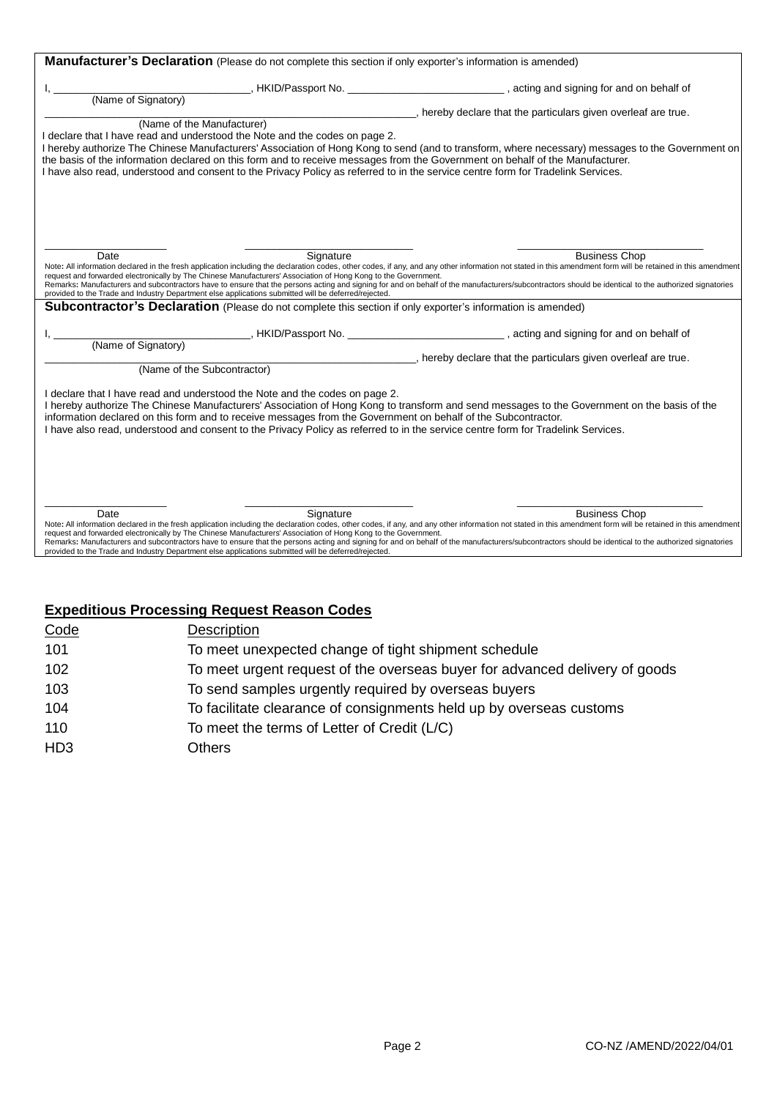| Manufacturer's Declaration (Please do not complete this section if only exporter's information is amended)                                                                                                                                                                                                                                                                                                                                                                                                                                                                                                                                                          |                                                                                                       |
|---------------------------------------------------------------------------------------------------------------------------------------------------------------------------------------------------------------------------------------------------------------------------------------------------------------------------------------------------------------------------------------------------------------------------------------------------------------------------------------------------------------------------------------------------------------------------------------------------------------------------------------------------------------------|-------------------------------------------------------------------------------------------------------|
|                                                                                                                                                                                                                                                                                                                                                                                                                                                                                                                                                                                                                                                                     | _______, HKID/Passport No. _________________________________, acting and signing for and on behalf of |
| (Name of Signatory)                                                                                                                                                                                                                                                                                                                                                                                                                                                                                                                                                                                                                                                 |                                                                                                       |
|                                                                                                                                                                                                                                                                                                                                                                                                                                                                                                                                                                                                                                                                     | hereby declare that the particulars given overleaf are true.                                          |
| (Name of the Manufacturer)<br>I declare that I have read and understood the Note and the codes on page 2.<br>I hereby authorize The Chinese Manufacturers' Association of Hong Kong to send (and to transform, where necessary) messages to the Government on<br>the basis of the information declared on this form and to receive messages from the Government on behalf of the Manufacturer.<br>I have also read, understood and consent to the Privacy Policy as referred to in the service centre form for Tradelink Services.                                                                                                                                  |                                                                                                       |
| Signature<br>Date<br>Note: All information declared in the fresh application including the declaration codes, other codes, if any, and any other information not stated in this amendment form will be retained in this amendment<br>request and forwarded electronically by The Chinese Manufacturers' Association of Hong Kong to the Government.<br>Remarks: Manufacturers and subcontractors have to ensure that the persons acting and signing for and on behalf of the manufacturers/subcontractors should be identical to the authorized signatories<br>provided to the Trade and Industry Department else applications submitted will be deferred/rejected. | <b>Business Chop</b>                                                                                  |
| <b>Subcontractor's Declaration</b> (Please do not complete this section if only exporter's information is amended)                                                                                                                                                                                                                                                                                                                                                                                                                                                                                                                                                  |                                                                                                       |
|                                                                                                                                                                                                                                                                                                                                                                                                                                                                                                                                                                                                                                                                     |                                                                                                       |
| (Name of Signatory)                                                                                                                                                                                                                                                                                                                                                                                                                                                                                                                                                                                                                                                 |                                                                                                       |
| (Name of the Subcontractor)                                                                                                                                                                                                                                                                                                                                                                                                                                                                                                                                                                                                                                         |                                                                                                       |
| I declare that I have read and understood the Note and the codes on page 2.<br>I hereby authorize The Chinese Manufacturers' Association of Hong Kong to transform and send messages to the Government on the basis of the<br>information declared on this form and to receive messages from the Government on behalf of the Subcontractor.<br>I have also read, understood and consent to the Privacy Policy as referred to in the service centre form for Tradelink Services.                                                                                                                                                                                     |                                                                                                       |
| Date<br>Signature<br>Note: All information declared in the fresh application including the declaration codes, other codes, if any, and any other information not stated in this amendment form will be retained in this amendment<br>request and forwarded electronically by The Chinese Manufacturers' Association of Hong Kong to the Government.<br>Remarks: Manufacturers and subcontractors have to ensure that the persons acting and signing for and on behalf of the manufacturers/subcontractors should be identical to the authorized signatories<br>provided to the Trade and Industry Department else applications submitted will be deferred/rejected. | <b>Business Chop</b>                                                                                  |

# **Expeditious Processing Request Reason Codes**

| Code            | <b>Description</b>                                                          |
|-----------------|-----------------------------------------------------------------------------|
| 101             | To meet unexpected change of tight shipment schedule                        |
| 102             | To meet urgent request of the overseas buyer for advanced delivery of goods |
| 103             | To send samples urgently required by overseas buyers                        |
| 104             | To facilitate clearance of consignments held up by overseas customs         |
| 110             | To meet the terms of Letter of Credit (L/C)                                 |
| HD <sub>3</sub> | Others                                                                      |